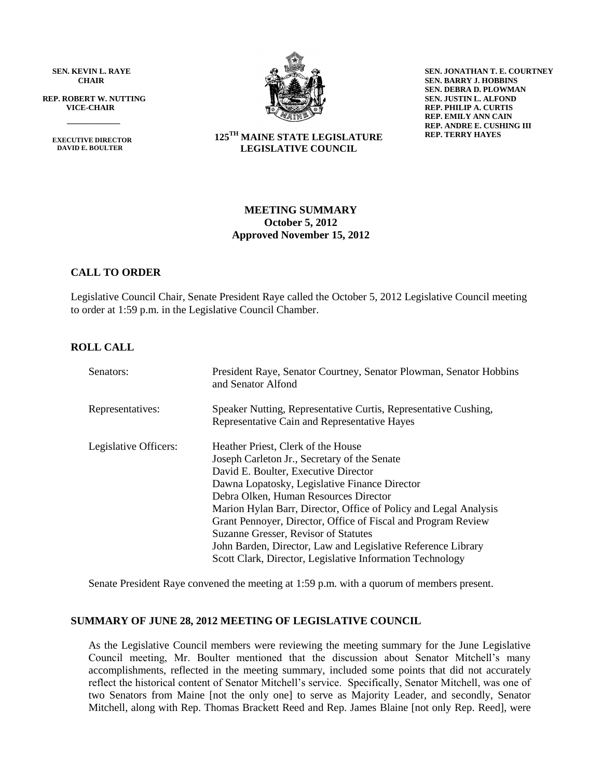**SEN. KEVIN L. RAYE CHAIR**

 **REP. ROBERT W. NUTTING VICE-CHAIR**

 **EXECUTIVE DIRECTOR DAVID E. BOULTER**

 $\frac{1}{\sqrt{2}}$ 



**SEN. JONATHAN T. E. COURTNEY SEN. BARRY J. HOBBINS SEN. DEBRA D. PLOWMAN SEN. JUSTIN L. ALFOND REP. PHILIP A. CURTIS REP. EMILY ANN CAIN REP. ANDRE E. CUSHING III REP. TERRY HAYES**

**125TH MAINE STATE LEGISLATURE LEGISLATIVE COUNCIL**

## **MEETING SUMMARY October 5, 2012 Approved November 15, 2012**

## **CALL TO ORDER**

Legislative Council Chair, Senate President Raye called the October 5, 2012 Legislative Council meeting to order at 1:59 p.m. in the Legislative Council Chamber.

## **ROLL CALL**

| Senators:             | President Raye, Senator Courtney, Senator Plowman, Senator Hobbins<br>and Senator Alfond                                                                                                                                                                                                                                                                                                                                                                                                                                       |
|-----------------------|--------------------------------------------------------------------------------------------------------------------------------------------------------------------------------------------------------------------------------------------------------------------------------------------------------------------------------------------------------------------------------------------------------------------------------------------------------------------------------------------------------------------------------|
| Representatives:      | Speaker Nutting, Representative Curtis, Representative Cushing,<br>Representative Cain and Representative Hayes                                                                                                                                                                                                                                                                                                                                                                                                                |
| Legislative Officers: | Heather Priest, Clerk of the House<br>Joseph Carleton Jr., Secretary of the Senate<br>David E. Boulter, Executive Director<br>Dawna Lopatosky, Legislative Finance Director<br>Debra Olken, Human Resources Director<br>Marion Hylan Barr, Director, Office of Policy and Legal Analysis<br>Grant Pennoyer, Director, Office of Fiscal and Program Review<br>Suzanne Gresser, Revisor of Statutes<br>John Barden, Director, Law and Legislative Reference Library<br>Scott Clark, Director, Legislative Information Technology |

Senate President Raye convened the meeting at 1:59 p.m. with a quorum of members present.

#### **SUMMARY OF JUNE 28, 2012 MEETING OF LEGISLATIVE COUNCIL**

As the Legislative Council members were reviewing the meeting summary for the June Legislative Council meeting, Mr. Boulter mentioned that the discussion about Senator Mitchell's many accomplishments, reflected in the meeting summary, included some points that did not accurately reflect the historical content of Senator Mitchell's service. Specifically, Senator Mitchell, was one of two Senators from Maine [not the only one] to serve as Majority Leader, and secondly, Senator Mitchell, along with Rep. Thomas Brackett Reed and Rep. James Blaine [not only Rep. Reed], were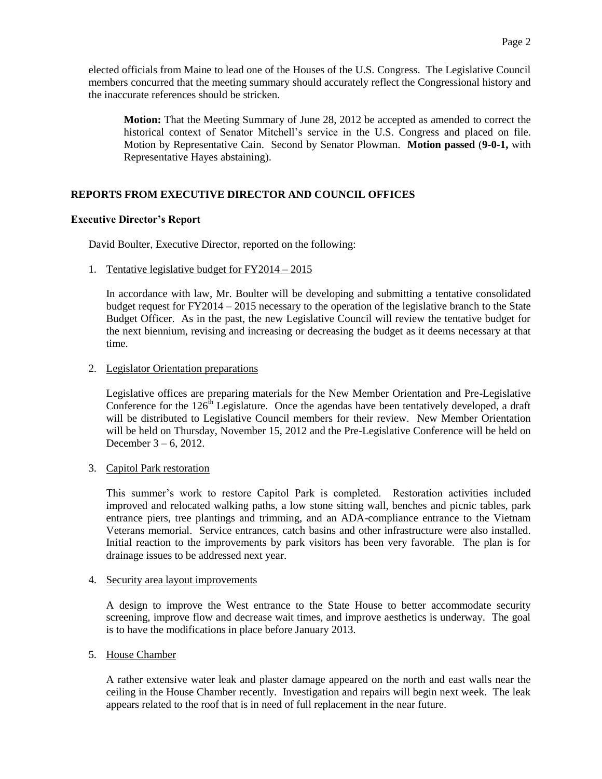elected officials from Maine to lead one of the Houses of the U.S. Congress. The Legislative Council members concurred that the meeting summary should accurately reflect the Congressional history and the inaccurate references should be stricken.

**Motion:** That the Meeting Summary of June 28, 2012 be accepted as amended to correct the historical context of Senator Mitchell's service in the U.S. Congress and placed on file. Motion by Representative Cain. Second by Senator Plowman. **Motion passed** (**9-0-1,** with Representative Hayes abstaining).

# **REPORTS FROM EXECUTIVE DIRECTOR AND COUNCIL OFFICES**

## **Executive Director's Report**

David Boulter, Executive Director, reported on the following:

## 1. Tentative legislative budget for FY2014 – 2015

In accordance with law, Mr. Boulter will be developing and submitting a tentative consolidated budget request for FY2014 – 2015 necessary to the operation of the legislative branch to the State Budget Officer. As in the past, the new Legislative Council will review the tentative budget for the next biennium, revising and increasing or decreasing the budget as it deems necessary at that time.

## 2. Legislator Orientation preparations

Legislative offices are preparing materials for the New Member Orientation and Pre-Legislative Conference for the  $126<sup>th</sup>$  Legislature. Once the agendas have been tentatively developed, a draft will be distributed to Legislative Council members for their review. New Member Orientation will be held on Thursday, November 15, 2012 and the Pre-Legislative Conference will be held on December 3 – 6, 2012.

## 3. Capitol Park restoration

This summer's work to restore Capitol Park is completed. Restoration activities included improved and relocated walking paths, a low stone sitting wall, benches and picnic tables, park entrance piers, tree plantings and trimming, and an ADA-compliance entrance to the Vietnam Veterans memorial. Service entrances, catch basins and other infrastructure were also installed. Initial reaction to the improvements by park visitors has been very favorable. The plan is for drainage issues to be addressed next year.

## 4. Security area layout improvements

A design to improve the West entrance to the State House to better accommodate security screening, improve flow and decrease wait times, and improve aesthetics is underway. The goal is to have the modifications in place before January 2013.

## 5. House Chamber

A rather extensive water leak and plaster damage appeared on the north and east walls near the ceiling in the House Chamber recently. Investigation and repairs will begin next week. The leak appears related to the roof that is in need of full replacement in the near future.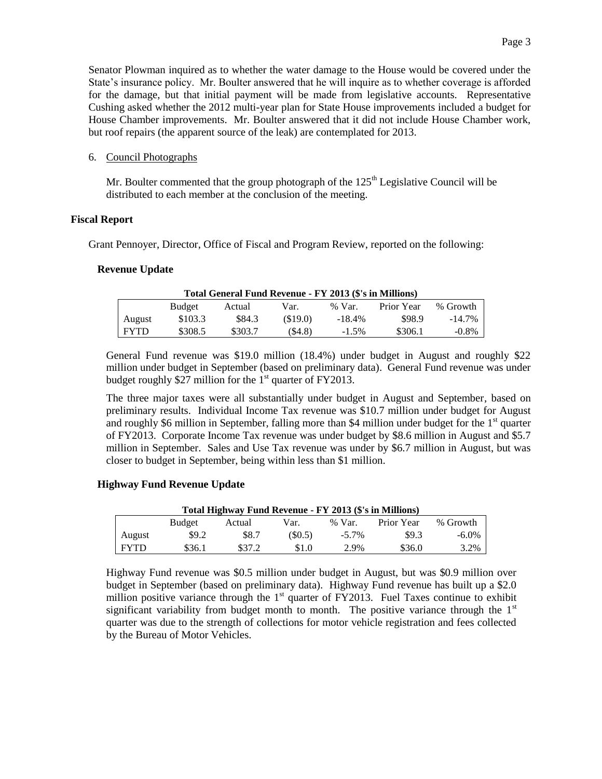Senator Plowman inquired as to whether the water damage to the House would be covered under the State's insurance policy. Mr. Boulter answered that he will inquire as to whether coverage is afforded for the damage, but that initial payment will be made from legislative accounts. Representative Cushing asked whether the 2012 multi-year plan for State House improvements included a budget for House Chamber improvements. Mr. Boulter answered that it did not include House Chamber work, but roof repairs (the apparent source of the leak) are contemplated for 2013.

### 6. Council Photographs

Mr. Boulter commented that the group photograph of the  $125<sup>th</sup>$  Legislative Council will be distributed to each member at the conclusion of the meeting.

### **Fiscal Report**

Grant Pennoyer, Director, Office of Fiscal and Program Review, reported on the following:

### **Revenue Update**

| Total General Fund Revenue - FY 2013 (\$'s in Millions) |               |         |         |           |            |           |  |  |  |
|---------------------------------------------------------|---------------|---------|---------|-----------|------------|-----------|--|--|--|
|                                                         | <b>Budget</b> | Actual  | Var.    | % Var.    | Prior Year | % Growth  |  |  |  |
| August                                                  | \$103.3       | \$84.3  | (S19.0) | $-18.4\%$ | \$98.9     | $-14.7\%$ |  |  |  |
| <b>FYTD</b>                                             | \$308.5       | \$303.7 | (S4.8)  | $-1.5\%$  | \$306.1    | $-0.8\%$  |  |  |  |

General Fund revenue was \$19.0 million (18.4%) under budget in August and roughly \$22 million under budget in September (based on preliminary data). General Fund revenue was under budget roughly \$27 million for the  $1<sup>st</sup>$  quarter of FY2013.

The three major taxes were all substantially under budget in August and September, based on preliminary results. Individual Income Tax revenue was \$10.7 million under budget for August and roughly \$6 million in September, falling more than \$4 million under budget for the  $1<sup>st</sup>$  quarter of FY2013. Corporate Income Tax revenue was under budget by \$8.6 million in August and \$5.7 million in September. Sales and Use Tax revenue was under by \$6.7 million in August, but was closer to budget in September, being within less than \$1 million.

## **Highway Fund Revenue Update**

| Total Highway Fund Revenue - FY 2013 (\$'s in Millions) |        |        |        |          |            |          |  |  |  |
|---------------------------------------------------------|--------|--------|--------|----------|------------|----------|--|--|--|
|                                                         | Budget | Actual | Var.   | $%$ Var. | Prior Year | % Growth |  |  |  |
| August                                                  | \$9.2  | \$8.7  | (S0.5) | $-5.7\%$ | \$9.3      | -6.0%    |  |  |  |
| <b>FYTD</b>                                             | \$36.1 | \$37.2 | \$1.0  | 2.9%     | \$36.0     | 3.2%     |  |  |  |

Highway Fund revenue was \$0.5 million under budget in August, but was \$0.9 million over budget in September (based on preliminary data). Highway Fund revenue has built up a \$2.0 million positive variance through the  $1<sup>st</sup>$  quarter of FY2013. Fuel Taxes continue to exhibit significant variability from budget month to month. The positive variance through the  $1<sup>st</sup>$ quarter was due to the strength of collections for motor vehicle registration and fees collected by the Bureau of Motor Vehicles.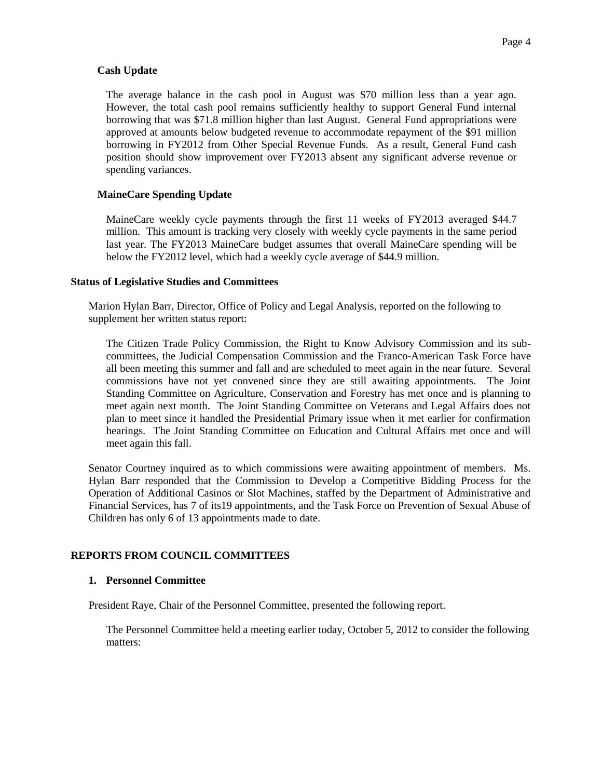## **Cash Update**

The average balance in the cash pool in August was \$70 million less than a year ago. However, the total cash pool remains sufficiently healthy to support General Fund internal borrowing that was \$71.8 million higher than last August. General Fund appropriations were approved at amounts below budgeted revenue to accommodate repayment of the \$91 million borrowing in FY2012 from Other Special Revenue Funds. As a result, General Fund cash position should show improvement over FY2013 absent any significant adverse revenue or spending variances.

## **MaineCare Spending Update**

MaineCare weekly cycle payments through the first 11 weeks of FY2013 averaged \$44.7 million. This amount is tracking very closely with weekly cycle payments in the same period last year. The FY2013 MaineCare budget assumes that overall MaineCare spending will be below the FY2012 level, which had a weekly cycle average of \$44.9 million.

## **Status of Legislative Studies and Committees**

Marion Hylan Barr, Director, Office of Policy and Legal Analysis, reported on the following to supplement her written status report:

The Citizen Trade Policy Commission, the Right to Know Advisory Commission and its subcommittees, the Judicial Compensation Commission and the Franco-American Task Force have all been meeting this summer and fall and are scheduled to meet again in the near future. Several commissions have not yet convened since they are still awaiting appointments. The Joint Standing Committee on Agriculture, Conservation and Forestry has met once and is planning to meet again next month. The Joint Standing Committee on Veterans and Legal Affairs does not plan to meet since it handled the Presidential Primary issue when it met earlier for confirmation hearings. The Joint Standing Committee on Education and Cultural Affairs met once and will meet again this fall.

Senator Courtney inquired as to which commissions were awaiting appointment of members. Ms. Hylan Barr responded that the Commission to Develop a Competitive Bidding Process for the Operation of Additional Casinos or Slot Machines, staffed by the Department of Administrative and Financial Services, has 7 of its19 appointments, and the Task Force on Prevention of Sexual Abuse of Children has only 6 of 13 appointments made to date.

## **REPORTS FROM COUNCIL COMMITTEES**

#### **1. Personnel Committee**

President Raye, Chair of the Personnel Committee, presented the following report.

The Personnel Committee held a meeting earlier today, October 5, 2012 to consider the following matters: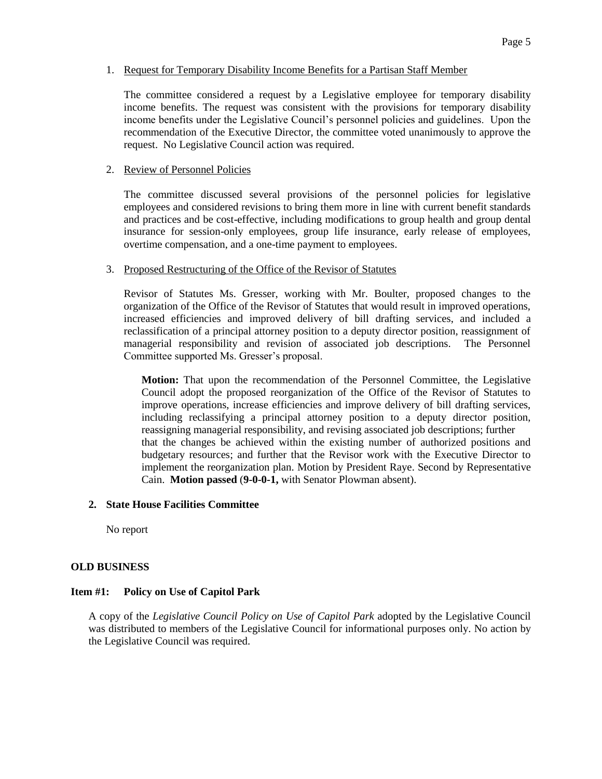## 1. Request for Temporary Disability Income Benefits for a Partisan Staff Member

The committee considered a request by a Legislative employee for temporary disability income benefits. The request was consistent with the provisions for temporary disability income benefits under the Legislative Council's personnel policies and guidelines. Upon the recommendation of the Executive Director, the committee voted unanimously to approve the request. No Legislative Council action was required.

## 2. Review of Personnel Policies

The committee discussed several provisions of the personnel policies for legislative employees and considered revisions to bring them more in line with current benefit standards and practices and be cost-effective, including modifications to group health and group dental insurance for session-only employees, group life insurance, early release of employees, overtime compensation, and a one-time payment to employees.

## 3. Proposed Restructuring of the Office of the Revisor of Statutes

Revisor of Statutes Ms. Gresser, working with Mr. Boulter, proposed changes to the organization of the Office of the Revisor of Statutes that would result in improved operations, increased efficiencies and improved delivery of bill drafting services, and included a reclassification of a principal attorney position to a deputy director position, reassignment of managerial responsibility and revision of associated job descriptions. The Personnel Committee supported Ms. Gresser's proposal.

**Motion:** That upon the recommendation of the Personnel Committee, the Legislative Council adopt the proposed reorganization of the Office of the Revisor of Statutes to improve operations, increase efficiencies and improve delivery of bill drafting services, including reclassifying a principal attorney position to a deputy director position, reassigning managerial responsibility, and revising associated job descriptions; further that the changes be achieved within the existing number of authorized positions and budgetary resources; and further that the Revisor work with the Executive Director to implement the reorganization plan. Motion by President Raye. Second by Representative Cain. **Motion passed** (**9-0-0-1,** with Senator Plowman absent).

## **2. State House Facilities Committee**

No report

# **OLD BUSINESS**

# **Item #1: Policy on Use of Capitol Park**

A copy of the *Legislative Council Policy on Use of Capitol Park* adopted by the Legislative Council was distributed to members of the Legislative Council for informational purposes only. No action by the Legislative Council was required.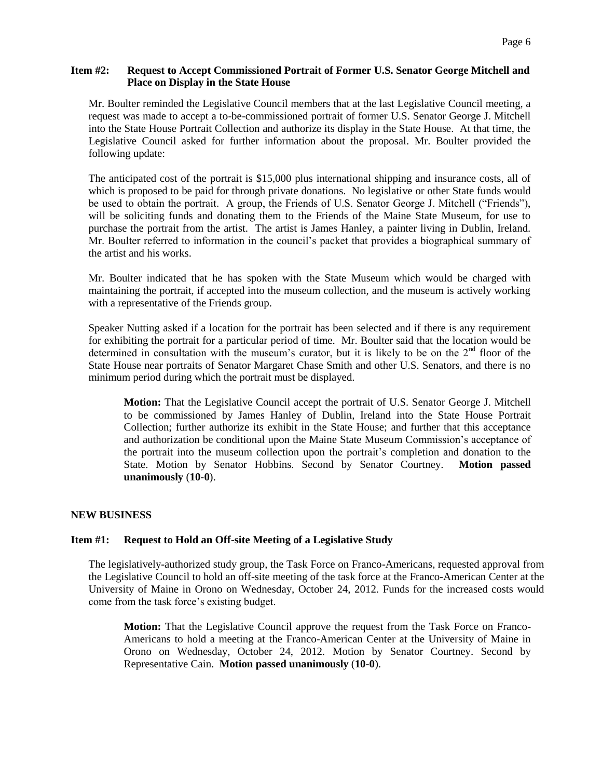## **Item #2: Request to Accept Commissioned Portrait of Former U.S. Senator George Mitchell and Place on Display in the State House**

Mr. Boulter reminded the Legislative Council members that at the last Legislative Council meeting, a request was made to accept a to-be-commissioned portrait of former U.S. Senator George J. Mitchell into the State House Portrait Collection and authorize its display in the State House. At that time, the Legislative Council asked for further information about the proposal. Mr. Boulter provided the following update:

The anticipated cost of the portrait is \$15,000 plus international shipping and insurance costs, all of which is proposed to be paid for through private donations. No legislative or other State funds would be used to obtain the portrait. A group, the Friends of U.S. Senator George J. Mitchell ("Friends"), will be soliciting funds and donating them to the Friends of the Maine State Museum, for use to purchase the portrait from the artist. The artist is James Hanley, a painter living in Dublin, Ireland. Mr. Boulter referred to information in the council's packet that provides a biographical summary of the artist and his works.

Mr. Boulter indicated that he has spoken with the State Museum which would be charged with maintaining the portrait, if accepted into the museum collection, and the museum is actively working with a representative of the Friends group.

Speaker Nutting asked if a location for the portrait has been selected and if there is any requirement for exhibiting the portrait for a particular period of time. Mr. Boulter said that the location would be determined in consultation with the museum's curator, but it is likely to be on the  $2<sup>nd</sup>$  floor of the State House near portraits of Senator Margaret Chase Smith and other U.S. Senators, and there is no minimum period during which the portrait must be displayed.

**Motion:** That the Legislative Council accept the portrait of U.S. Senator George J. Mitchell to be commissioned by James Hanley of Dublin, Ireland into the State House Portrait Collection; further authorize its exhibit in the State House; and further that this acceptance and authorization be conditional upon the Maine State Museum Commission's acceptance of the portrait into the museum collection upon the portrait's completion and donation to the State. Motion by Senator Hobbins. Second by Senator Courtney. **Motion passed unanimously** (**10-0**).

# **NEW BUSINESS**

## **Item #1: Request to Hold an Off-site Meeting of a Legislative Study**

The legislatively-authorized study group, the Task Force on Franco-Americans, requested approval from the Legislative Council to hold an off-site meeting of the task force at the Franco-American Center at the University of Maine in Orono on Wednesday, October 24, 2012. Funds for the increased costs would come from the task force's existing budget.

**Motion:** That the Legislative Council approve the request from the Task Force on Franco-Americans to hold a meeting at the Franco-American Center at the University of Maine in Orono on Wednesday, October 24, 2012. Motion by Senator Courtney. Second by Representative Cain. **Motion passed unanimously** (**10-0**).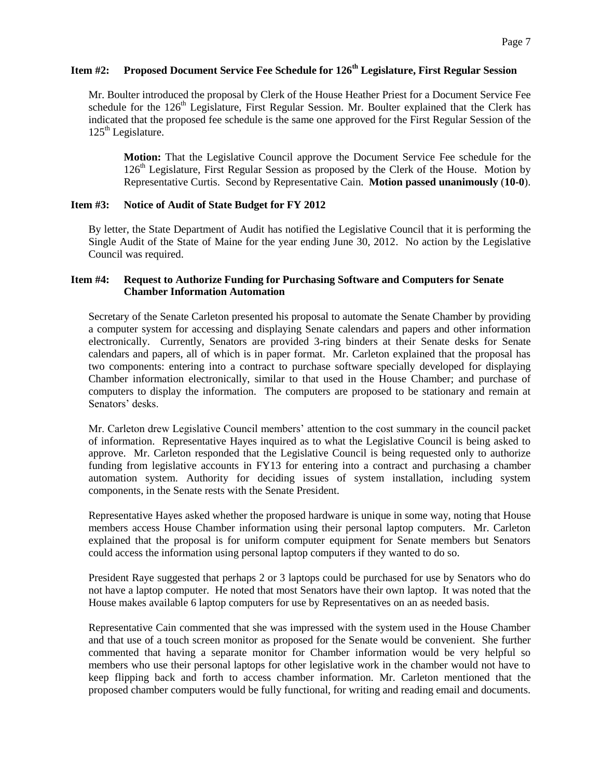# **Item #2: Proposed Document Service Fee Schedule for 126th Legislature, First Regular Session**

Mr. Boulter introduced the proposal by Clerk of the House Heather Priest for a Document Service Fee schedule for the  $126<sup>th</sup>$  Legislature, First Regular Session. Mr. Boulter explained that the Clerk has indicated that the proposed fee schedule is the same one approved for the First Regular Session of the  $125<sup>th</sup>$  Legislature.

**Motion:** That the Legislative Council approve the Document Service Fee schedule for the 126<sup>th</sup> Legislature, First Regular Session as proposed by the Clerk of the House. Motion by Representative Curtis. Second by Representative Cain. **Motion passed unanimously** (**10-0**).

## **Item #3: Notice of Audit of State Budget for FY 2012**

By letter, the State Department of Audit has notified the Legislative Council that it is performing the Single Audit of the State of Maine for the year ending June 30, 2012. No action by the Legislative Council was required.

## **Item #4: Request to Authorize Funding for Purchasing Software and Computers for Senate Chamber Information Automation**

Secretary of the Senate Carleton presented his proposal to automate the Senate Chamber by providing a computer system for accessing and displaying Senate calendars and papers and other information electronically. Currently, Senators are provided 3-ring binders at their Senate desks for Senate calendars and papers, all of which is in paper format. Mr. Carleton explained that the proposal has two components: entering into a contract to purchase software specially developed for displaying Chamber information electronically, similar to that used in the House Chamber; and purchase of computers to display the information. The computers are proposed to be stationary and remain at Senators' desks.

Mr. Carleton drew Legislative Council members' attention to the cost summary in the council packet of information. Representative Hayes inquired as to what the Legislative Council is being asked to approve. Mr. Carleton responded that the Legislative Council is being requested only to authorize funding from legislative accounts in FY13 for entering into a contract and purchasing a chamber automation system. Authority for deciding issues of system installation, including system components, in the Senate rests with the Senate President.

Representative Hayes asked whether the proposed hardware is unique in some way, noting that House members access House Chamber information using their personal laptop computers. Mr. Carleton explained that the proposal is for uniform computer equipment for Senate members but Senators could access the information using personal laptop computers if they wanted to do so.

President Raye suggested that perhaps 2 or 3 laptops could be purchased for use by Senators who do not have a laptop computer. He noted that most Senators have their own laptop. It was noted that the House makes available 6 laptop computers for use by Representatives on an as needed basis.

Representative Cain commented that she was impressed with the system used in the House Chamber and that use of a touch screen monitor as proposed for the Senate would be convenient. She further commented that having a separate monitor for Chamber information would be very helpful so members who use their personal laptops for other legislative work in the chamber would not have to keep flipping back and forth to access chamber information. Mr. Carleton mentioned that the proposed chamber computers would be fully functional, for writing and reading email and documents.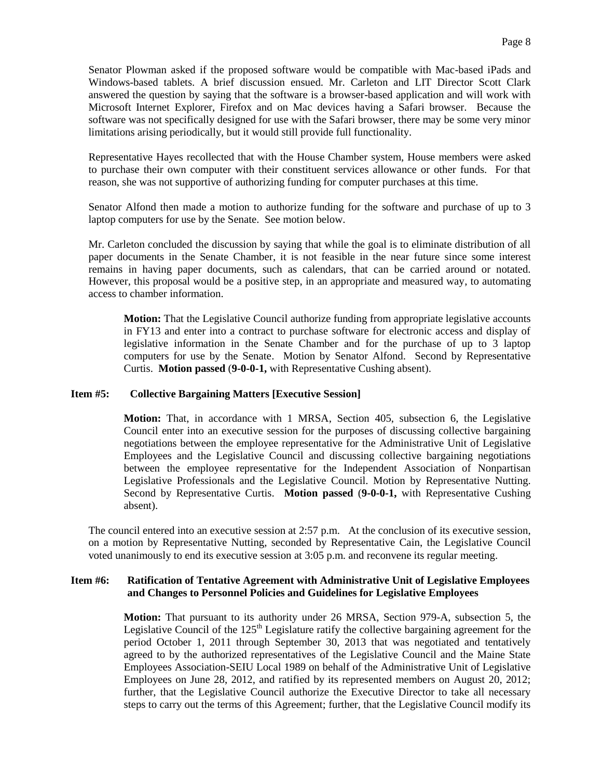Senator Plowman asked if the proposed software would be compatible with Mac-based iPads and Windows-based tablets. A brief discussion ensued. Mr. Carleton and LIT Director Scott Clark answered the question by saying that the software is a browser-based application and will work with Microsoft Internet Explorer, Firefox and on Mac devices having a Safari browser. Because the software was not specifically designed for use with the Safari browser, there may be some very minor limitations arising periodically, but it would still provide full functionality.

Representative Hayes recollected that with the House Chamber system, House members were asked to purchase their own computer with their constituent services allowance or other funds. For that reason, she was not supportive of authorizing funding for computer purchases at this time.

Senator Alfond then made a motion to authorize funding for the software and purchase of up to 3 laptop computers for use by the Senate. See motion below.

Mr. Carleton concluded the discussion by saying that while the goal is to eliminate distribution of all paper documents in the Senate Chamber, it is not feasible in the near future since some interest remains in having paper documents, such as calendars, that can be carried around or notated. However, this proposal would be a positive step, in an appropriate and measured way, to automating access to chamber information.

**Motion:** That the Legislative Council authorize funding from appropriate legislative accounts in FY13 and enter into a contract to purchase software for electronic access and display of legislative information in the Senate Chamber and for the purchase of up to 3 laptop computers for use by the Senate. Motion by Senator Alfond. Second by Representative Curtis. **Motion passed** (**9-0-0-1,** with Representative Cushing absent).

#### **Item #5: Collective Bargaining Matters [Executive Session]**

**Motion:** That, in accordance with 1 MRSA, Section 405, subsection 6, the Legislative Council enter into an executive session for the purposes of discussing collective bargaining negotiations between the employee representative for the Administrative Unit of Legislative Employees and the Legislative Council and discussing collective bargaining negotiations between the employee representative for the Independent Association of Nonpartisan Legislative Professionals and the Legislative Council. Motion by Representative Nutting. Second by Representative Curtis. **Motion passed** (**9-0-0-1,** with Representative Cushing absent).

The council entered into an executive session at 2:57 p.m. At the conclusion of its executive session, on a motion by Representative Nutting, seconded by Representative Cain, the Legislative Council voted unanimously to end its executive session at 3:05 p.m. and reconvene its regular meeting.

### **Item #6: Ratification of Tentative Agreement with Administrative Unit of Legislative Employees and Changes to Personnel Policies and Guidelines for Legislative Employees**

**Motion:** That pursuant to its authority under 26 MRSA, Section 979-A, subsection 5, the Legislative Council of the  $125<sup>th</sup>$  Legislature ratify the collective bargaining agreement for the period October 1, 2011 through September 30, 2013 that was negotiated and tentatively agreed to by the authorized representatives of the Legislative Council and the Maine State Employees Association-SEIU Local 1989 on behalf of the Administrative Unit of Legislative Employees on June 28, 2012, and ratified by its represented members on August 20, 2012; further, that the Legislative Council authorize the Executive Director to take all necessary steps to carry out the terms of this Agreement; further, that the Legislative Council modify its